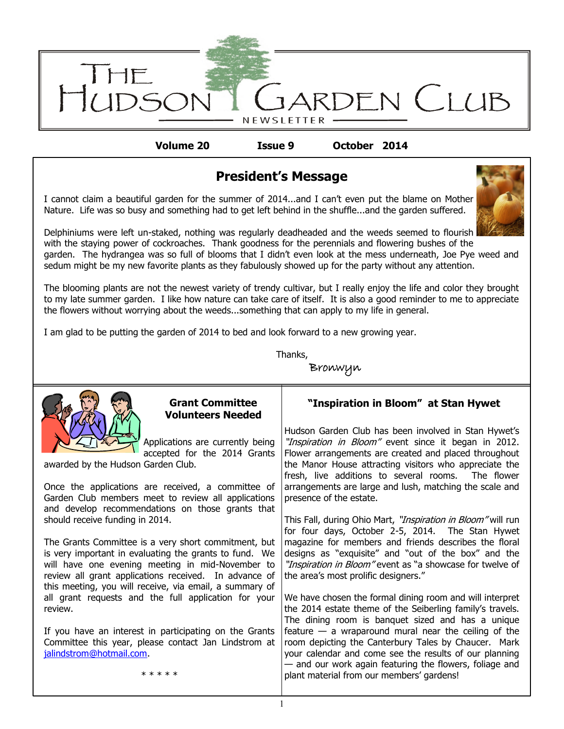

**Volume 20 Issue 9 October 2014**

## **President's Message**

I cannot claim a beautiful garden for the summer of 2014...and I can't even put the blame on Mother Nature. Life was so busy and something had to get left behind in the shuffle...and the garden suffered.



Delphiniums were left un-staked, nothing was regularly deadheaded and the weeds seemed to flourish with the staying power of cockroaches. Thank goodness for the perennials and flowering bushes of the garden. The hydrangea was so full of blooms that I didn't even look at the mess underneath, Joe Pye weed and sedum might be my new favorite plants as they fabulously showed up for the party without any attention.

The blooming plants are not the newest variety of trendy cultivar, but I really enjoy the life and color they brought to my late summer garden. I like how nature can take care of itself. It is also a good reminder to me to appreciate the flowers without worrying about the weeds...something that can apply to my life in general.

I am glad to be putting the garden of 2014 to bed and look forward to a new growing year.

Thanks,

Bronwyn



# **Volunteers Needed**

Applications are currently being accepted for the 2014 Grants awarded by the Hudson Garden Club.

Once the applications are received, a committee of Garden Club members meet to review all applications and develop recommendations on those grants that should receive funding in 2014.

The Grants Committee is a very short commitment, but is very important in evaluating the grants to fund. We will have one evening meeting in mid-November to review all grant applications received. In advance of this meeting, you will receive, via email, a summary of all grant requests and the full application for your review.

If you have an interest in participating on the Grants Committee this year, please contact Jan Lindstrom at [jalindstrom@hotmail.com.](mailto:jalindstrom@hotmail.com)

#### \* \* \* \* \*

## **Grant Committee "Inspiration in Bloom" at Stan Hywet**

Hudson Garden Club has been involved in Stan Hywet's "Inspiration in Bloom" event since it began in 2012. Flower arrangements are created and placed throughout the Manor House attracting visitors who appreciate the fresh, live additions to several rooms. The flower arrangements are large and lush, matching the scale and presence of the estate.

This Fall, during Ohio Mart, "Inspiration in Bloom" will run for four days, October 2-5, 2014. The Stan Hywet magazine for members and friends describes the floral designs as "exquisite" and "out of the box" and the "Inspiration in Bloom" event as "a showcase for twelve of the area's most prolific designers."

We have chosen the formal dining room and will interpret the 2014 estate theme of the Seiberling family's travels. The dining room is banquet sized and has a unique feature  $-$  a wraparound mural near the ceiling of the room depicting the Canterbury Tales by Chaucer. Mark your calendar and come see the results of our planning — and our work again featuring the flowers, foliage and plant material from our members' gardens!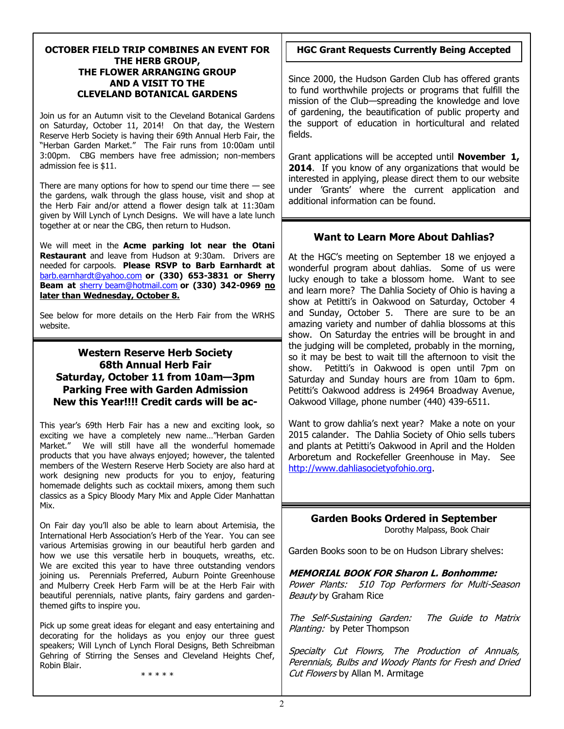#### **OCTOBER FIELD TRIP COMBINES AN EVENT FOR THE HERB GROUP, THE FLOWER ARRANGING GROUP AND A VISIT TO THE CLEVELAND BOTANICAL GARDENS**

Join us for an Autumn visit to the Cleveland Botanical Gardens on Saturday, October 11, 2014! On that day, the Western Reserve Herb Society is having their 69th Annual Herb Fair, the "Herban Garden Market." The Fair runs from 10:00am until 3:00pm. CBG members have free admission; non-members admission fee is \$11.

There are many options for how to spend our time there  $-$  see the gardens, walk through the glass house, visit and shop at the Herb Fair and/or attend a flower design talk at 11:30am given by Will Lynch of Lynch Designs. We will have a late lunch together at or near the CBG, then return to Hudson.

We will meet in the **Acme parking lot near the Otani Restaurant** and leave from Hudson at 9:30am. Drivers are needed for carpools. **Please RSVP to Barb Earnhardt at**  [barb.earnhardt@yahoo.com](mailto:barb.earnhardt@yahoo.com) **or (330) 653-3831 or Sherry Beam at** [sherry beam@hotmail.com](mailto:sherrybeam@hotmail.com) **or (330) 342-0969 no later than Wednesday, October 8.**

See below for more details on the Herb Fair from the WRHS website.

### **Western Reserve Herb Society 68th Annual Herb Fair Saturday, October 11 from 10am—3pm Parking Free with Garden Admission New this Year!!!! Credit cards will be ac-**

This year's 69th Herb Fair has a new and exciting look, so exciting we have a completely new name…"Herban Garden Market." We will still have all the wonderful homemade products that you have always enjoyed; however, the talented members of the Western Reserve Herb Society are also hard at work designing new products for you to enjoy, featuring homemade delights such as cocktail mixers, among them such classics as a Spicy Bloody Mary Mix and Apple Cider Manhattan Mix.

On Fair day you'll also be able to learn about Artemisia, the International Herb Association's Herb of the Year. You can see various Artemisias growing in our beautiful herb garden and how we use this versatile herb in bouquets, wreaths, etc. We are excited this year to have three outstanding vendors joining us. Perennials Preferred, Auburn Pointe Greenhouse and Mulberry Creek Herb Farm will be at the Herb Fair with beautiful perennials, native plants, fairy gardens and gardenthemed gifts to inspire you.

Pick up some great ideas for elegant and easy entertaining and decorating for the holidays as you enjoy our three guest speakers; Will Lynch of Lynch Floral Designs, Beth Schreibman Gehring of Stirring the Senses and Cleveland Heights Chef, Robin Blair.

\* \* \* \* \*

### **HGC Grant Requests Currently Being Accepted**

Since 2000, the Hudson Garden Club has offered grants to fund worthwhile projects or programs that fulfill the mission of the Club—spreading the knowledge and love of gardening, the beautification of public property and the support of education in horticultural and related fields.

Grant applications will be accepted until **November 1, 2014**. If you know of any organizations that would be interested in applying, please direct them to our website under 'Grants' where the current application and additional information can be found.

### **Want to Learn More About Dahlias?**

At the HGC's meeting on September 18 we enjoyed a wonderful program about dahlias. Some of us were lucky enough to take a blossom home. Want to see and learn more? The Dahlia Society of Ohio is having a show at Petitti's in Oakwood on Saturday, October 4 and Sunday, October 5. There are sure to be an amazing variety and number of dahlia blossoms at this show. On Saturday the entries will be brought in and the judging will be completed, probably in the morning, so it may be best to wait till the afternoon to visit the show. Petitti's in Oakwood is open until 7pm on Saturday and Sunday hours are from 10am to 6pm. Petitti's Oakwood address is 24964 Broadway Avenue, Oakwood Village, phone number (440) 439-6511.

Want to grow dahlia's next year? Make a note on your 2015 calander. The Dahlia Society of Ohio sells tubers and plants at Petitti's Oakwood in April and the Holden Arboretum and Rockefeller Greenhouse in May. See [http://www.dahliasocietyofohio.org.](http://www.dahliasocietyofohio.org)

**Garden Books Ordered in September**

Dorothy Malpass, Book Chair

Garden Books soon to be on Hudson Library shelves:

#### **MEMORIAL BOOK FOR Sharon L. Bonhomme:**

Power Plants: 510 Top Performers for Multi-Season Beauty by Graham Rice

The Self-Sustaining Garden: The Guide to Matrix Planting: by Peter Thompson

Specialty Cut Flowrs, The Production of Annuals, Perennials, Bulbs and Woody Plants for Fresh and Dried Cut Flowers by Allan M. Armitage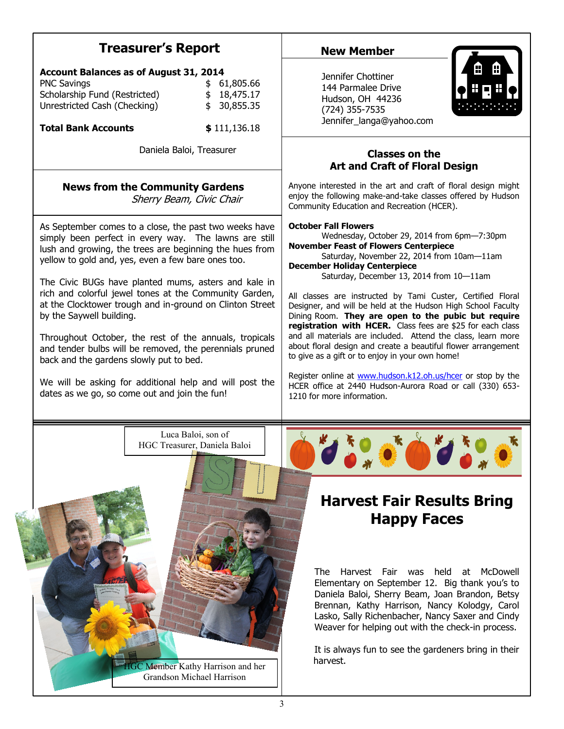## **Treasurer's Report**

| <b>Account Balances as of August 31, 2014</b> |  |             |
|-----------------------------------------------|--|-------------|
| <b>PNC Savings</b>                            |  | \$61,805.66 |
| Scholarship Fund (Restricted)                 |  | \$18,475.17 |
| Unrestricted Cash (Checking)                  |  | \$30,855.35 |

**Total Bank Accounts \$** 111,136.18

Daniela Baloi, Treasurer

## **News from the Community Gardens**

Sherry Beam, Civic Chair

As September comes to a close, the past two weeks have simply been perfect in every way. The lawns are still lush and growing, the trees are beginning the hues from yellow to gold and, yes, even a few bare ones too.

The Civic BUGs have planted mums, asters and kale in rich and colorful jewel tones at the Community Garden, at the Clocktower trough and in-ground on Clinton Street by the Saywell building.

Throughout October, the rest of the annuals, tropicals and tender bulbs will be removed, the perennials pruned back and the gardens slowly put to bed.

We will be asking for additional help and will post the dates as we go, so come out and join the fun!

## **New Member**



Jennifer Chottiner 144 Parmalee Drive Hudson, OH 44236 (724) 355-7535 Jennifer\_langa@yahoo.com

### **Classes on the Art and Craft of Floral Design**

Anyone interested in the art and craft of floral design might enjoy the following make-and-take classes offered by Hudson Community Education and Recreation (HCER).

#### **October Fall Flowers**

Wednesday, October 29, 2014 from 6pm—7:30pm **November Feast of Flowers Centerpiece** Saturday, November 22, 2014 from 10am—11am

**December Holiday Centerpiece**

Saturday, December 13, 2014 from 10—11am

All classes are instructed by Tami Custer, Certified Floral Designer, and will be held at the Hudson High School Faculty Dining Room. **They are open to the pubic but require registration with HCER.** Class fees are \$25 for each class and all materials are included. Attend the class, learn more about floral design and create a beautiful flower arrangement to give as a gift or to enjoy in your own home!

Register online at [www.hudson.k12.oh.us/hcer](http://www.hudson.k12.oh.us/hcer) or stop by the HCER office at 2440 Hudson-Aurora Road or call (330) 653- 1210 for more information.

Luca Baloi, son of HGC Treasurer, Daniela Baloi



## **Harvest Fair Results Bring Happy Faces**

The Harvest Fair was held at McDowell Elementary on September 12. Big thank you's to Daniela Baloi, Sherry Beam, Joan Brandon, Betsy Brennan, Kathy Harrison, Nancy Kolodgy, Carol Lasko, Sally Richenbacher, Nancy Saxer and Cindy Weaver for helping out with the check-in process.

It is always fun to see the gardeners bring in their harvest.

HGC Member Kathy Harrison and her Grandson Michael Harrison